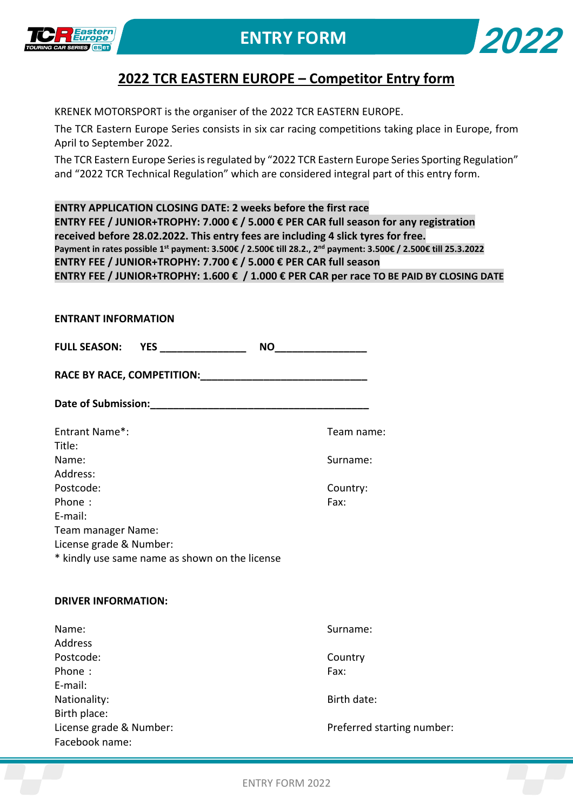



## **2022 TCR EASTERN EUROPE – Competitor Entry form**

KRENEK MOTORSPORT is the organiser of the 2022 TCR EASTERN EUROPE.

The TCR Eastern Europe Series consists in six car racing competitions taking place in Europe, from April to September 2022.

The TCR Eastern Europe Series is regulated by "2022 TCR Eastern Europe Series Sporting Regulation" and "2022 TCR Technical Regulation" which are considered integral part of this entry form.

**ENTRY APPLICATION CLOSING DATE: 2 weeks before the first race ENTRY FEE / JUNIOR+TROPHY: 7.000 € / 5.000 € PER CAR full season for any registration received before 28.02.2022. This entry fees are including 4 slick tyres for free. Payment in rates possible 1st payment: 3.500€ / 2.500€ till 28.2., 2nd payment: 3.500€ / 2.500€ till 25.3.2022 ENTRY FEE / JUNIOR+TROPHY: 7.700 € / 5.000 € PER CAR full season ENTRY FEE / JUNIOR+TROPHY: 1.600 € / 1.000 € PER CAR per race TO BE PAID BY CLOSING DATE**

| Date of Submission: Management of Submission:  |                            |  |
|------------------------------------------------|----------------------------|--|
| Entrant Name*:                                 | Team name:                 |  |
| Title:                                         |                            |  |
| Name:                                          | Surname:                   |  |
| Address:                                       |                            |  |
| Postcode:                                      | Country:                   |  |
| Phone:                                         | Fax:                       |  |
| E-mail:                                        |                            |  |
| Team manager Name:                             |                            |  |
| License grade & Number:                        |                            |  |
| * kindly use same name as shown on the license |                            |  |
| <b>DRIVER INFORMATION:</b>                     |                            |  |
| Name:                                          | Surname:                   |  |
| <b>Address</b>                                 |                            |  |
| Postcode:                                      | Country                    |  |
| Phone:                                         | Fax:                       |  |
| E-mail:                                        |                            |  |
| Nationality:                                   | Birth date:                |  |
| Birth place:                                   |                            |  |
| License grade & Number:                        | Preferred starting number: |  |
| Facebook name:                                 |                            |  |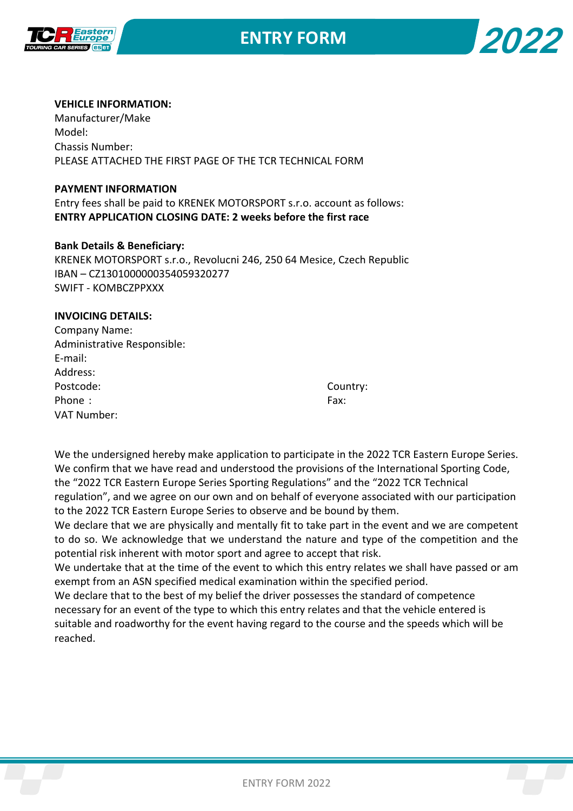



### **VEHICLE INFORMATION:**

Manufacturer/Make Model: Chassis Number: PLEASE ATTACHED THE FIRST PAGE OF THE TCR TECHNICAL FORM

#### **PAYMENT INFORMATION**

Entry fees shall be paid to KRENEK MOTORSPORT s.r.o. account as follows: **ENTRY APPLICATION CLOSING DATE: 2 weeks before the first race**

### **Bank Details & Beneficiary:**

KRENEK MOTORSPORT s.r.o., Revolucni 246, 250 64 Mesice, Czech Republic IBAN – CZ1301000000354059320277 SWIFT - KOMBCZPPXXX

### **INVOICING DETAILS:**

| Cou  |
|------|
| Fax: |
|      |
|      |

Country:

We the undersigned hereby make application to participate in the 2022 TCR Eastern Europe Series. We confirm that we have read and understood the provisions of the International Sporting Code, the "2022 TCR Eastern Europe Series Sporting Regulations" and the "2022 TCR Technical regulation", and we agree on our own and on behalf of everyone associated with our participation to the 2022 TCR Eastern Europe Series to observe and be bound by them.

We declare that we are physically and mentally fit to take part in the event and we are competent to do so. We acknowledge that we understand the nature and type of the competition and the potential risk inherent with motor sport and agree to accept that risk.

We undertake that at the time of the event to which this entry relates we shall have passed or am exempt from an ASN specified medical examination within the specified period.

We declare that to the best of my belief the driver possesses the standard of competence necessary for an event of the type to which this entry relates and that the vehicle entered is suitable and roadworthy for the event having regard to the course and the speeds which will be reached.